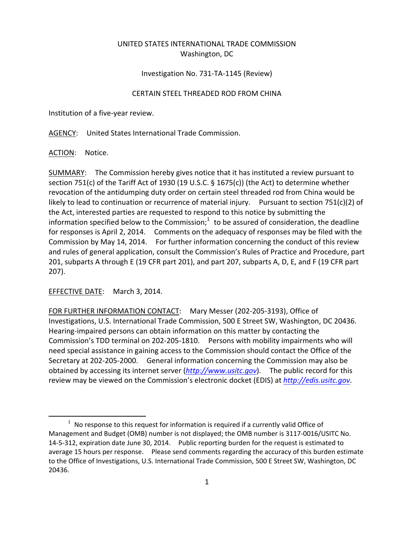## UNITED STATES INTERNATIONAL TRADE COMMISSION Washington, DC

## Investigation No. 731‐TA‐1145 (Review)

## CERTAIN STEEL THREADED ROD FROM CHINA

Institution of a five‐year review.

AGENCY: United States International Trade Commission.

ACTION: Notice.

SUMMARY: The Commission hereby gives notice that it has instituted a review pursuant to section 751(c) of the Tariff Act of 1930 (19 U.S.C. § 1675(c)) (the Act) to determine whether revocation of the antidumping duty order on certain steel threaded rod from China would be likely to lead to continuation or recurrence of material injury. Pursuant to section 751(c)(2) of the Act, interested parties are requested to respond to this notice by submitting the information specified below to the Commission;<sup>1</sup> to be assured of consideration, the deadline for responses is April 2, 2014. Comments on the adequacy of responses may be filed with the Commission by May 14, 2014. For further information concerning the conduct of this review and rules of general application, consult the Commission's Rules of Practice and Procedure, part 201, subparts A through E (19 CFR part 201), and part 207, subparts A, D, E, and F (19 CFR part 207).

EFFECTIVE DATE: March 3, 2014.

 $\overline{a}$ 

FOR FURTHER INFORMATION CONTACT: Mary Messer (202‐205‐3193), Office of Investigations, U.S. International Trade Commission, 500 E Street SW, Washington, DC 20436. Hearing‐impaired persons can obtain information on this matter by contacting the Commission's TDD terminal on 202‐205‐1810. Persons with mobility impairments who will need special assistance in gaining access to the Commission should contact the Office of the Secretary at 202‐205‐2000. General information concerning the Commission may also be obtained by accessing its internet server (*http://www.usitc.gov*). The public record for this review may be viewed on the Commission's electronic docket (EDIS) at *http://edis.usitc.gov*.

 $1$  No response to this request for information is required if a currently valid Office of Management and Budget (OMB) number is not displayed; the OMB number is 3117‐0016/USITC No. 14‐5‐312, expiration date June 30, 2014. Public reporting burden for the request is estimated to average 15 hours per response. Please send comments regarding the accuracy of this burden estimate to the Office of Investigations, U.S. International Trade Commission, 500 E Street SW, Washington, DC 20436.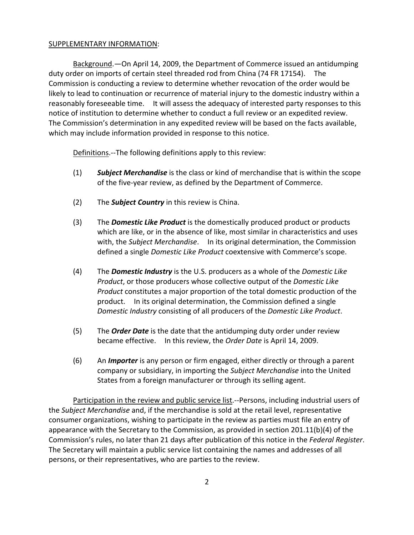## SUPPLEMENTARY INFORMATION:

Background.—On April 14, 2009, the Department of Commerce issued an antidumping duty order on imports of certain steel threaded rod from China (74 FR 17154). The Commission is conducting a review to determine whether revocation of the order would be likely to lead to continuation or recurrence of material injury to the domestic industry within a reasonably foreseeable time. It will assess the adequacy of interested party responses to this notice of institution to determine whether to conduct a full review or an expedited review. The Commission's determination in any expedited review will be based on the facts available, which may include information provided in response to this notice.

Definitions.—The following definitions apply to this review:

- (1) *Subject Merchandise* is the class or kind of merchandise that is within the scope of the five‐year review, as defined by the Department of Commerce.
- (2) The *Subject Country* in this review is China.
- (3) The *Domestic Like Product* is the domestically produced product or products which are like, or in the absence of like, most similar in characteristics and uses with, the *Subject Merchandise*. In its original determination, the Commission defined a single *Domestic Like Product* coextensive with Commerce's scope.
- (4) The *Domestic Industry* is the U.S. producers as a whole of the *Domestic Like Product*, or those producers whose collective output of the *Domestic Like Product* constitutes a major proportion of the total domestic production of the product. In its original determination, the Commission defined a single *Domestic Industry* consisting of all producers of the *Domestic Like Product*.
- (5) The *Order Date* is the date that the antidumping duty order under review became effective. In this review, the *Order Date* is April 14, 2009.
- (6) An *Importer* is any person or firm engaged, either directly or through a parent company or subsidiary, in importing the *Subject Merchandise* into the United States from a foreign manufacturer or through its selling agent.

Participation in the review and public service list. -- Persons, including industrial users of the *Subject Merchandise* and, if the merchandise is sold at the retail level, representative consumer organizations, wishing to participate in the review as parties must file an entry of appearance with the Secretary to the Commission, as provided in section 201.11(b)(4) of the Commission's rules, no later than 21 days after publication of this notice in the *Federal Register*. The Secretary will maintain a public service list containing the names and addresses of all persons, or their representatives, who are parties to the review.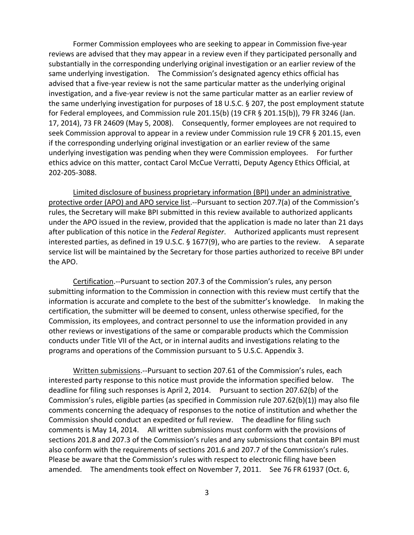Former Commission employees who are seeking to appear in Commission five‐year reviews are advised that they may appear in a review even if they participated personally and substantially in the corresponding underlying original investigation or an earlier review of the same underlying investigation. The Commission's designated agency ethics official has advised that a five‐year review is not the same particular matter as the underlying original investigation, and a five‐year review is not the same particular matter as an earlier review of the same underlying investigation for purposes of 18 U.S.C. § 207, the post employment statute for Federal employees, and Commission rule 201.15(b) (19 CFR § 201.15(b)), 79 FR 3246 (Jan. 17, 2014), 73 FR 24609 (May 5, 2008). Consequently, former employees are not required to seek Commission approval to appear in a review under Commission rule 19 CFR § 201.15, even if the corresponding underlying original investigation or an earlier review of the same underlying investigation was pending when they were Commission employees. For further ethics advice on this matter, contact Carol McCue Verratti, Deputy Agency Ethics Official, at 202‐205‐3088.

Limited disclosure of business proprietary information (BPI) under an administrative protective order (APO) and APO service list.‐‐Pursuant to section 207.7(a) of the Commission's rules, the Secretary will make BPI submitted in this review available to authorized applicants under the APO issued in the review, provided that the application is made no later than 21 days after publication of this notice in the *Federal Register*. Authorized applicants must represent interested parties, as defined in 19 U.S.C. § 1677(9), who are parties to the review. A separate service list will be maintained by the Secretary for those parties authorized to receive BPI under the APO.

Certification.‐‐Pursuant to section 207.3 of the Commission's rules, any person submitting information to the Commission in connection with this review must certify that the information is accurate and complete to the best of the submitter's knowledge. In making the certification, the submitter will be deemed to consent, unless otherwise specified, for the Commission, its employees, and contract personnel to use the information provided in any other reviews or investigations of the same or comparable products which the Commission conducts under Title VII of the Act, or in internal audits and investigations relating to the programs and operations of the Commission pursuant to 5 U.S.C. Appendix 3.

Written submissions. -- Pursuant to section 207.61 of the Commission's rules, each interested party response to this notice must provide the information specified below. The deadline for filing such responses is April 2, 2014. Pursuant to section 207.62(b) of the Commission's rules, eligible parties (as specified in Commission rule 207.62(b)(1)) may also file comments concerning the adequacy of responses to the notice of institution and whether the Commission should conduct an expedited or full review. The deadline for filing such comments is May 14, 2014. All written submissions must conform with the provisions of sections 201.8 and 207.3 of the Commission's rules and any submissions that contain BPI must also conform with the requirements of sections 201.6 and 207.7 of the Commission's rules. Please be aware that the Commission's rules with respect to electronic filing have been amended. The amendments took effect on November 7, 2011. See 76 FR 61937 (Oct. 6,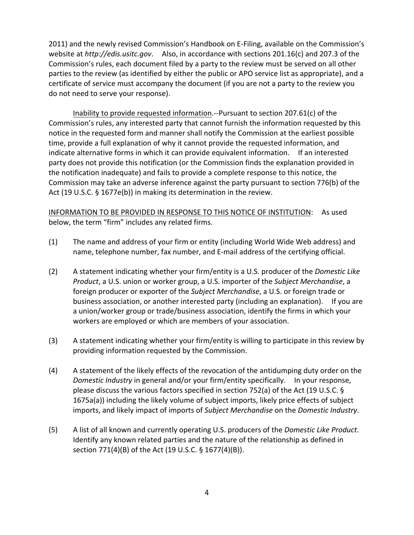2011) and the newly revised Commission's Handbook on E‐Filing, available on the Commission's website at *http://edis.usitc.gov*. Also, in accordance with sections 201.16(c) and 207.3 of the Commission's rules, each document filed by a party to the review must be served on all other parties to the review (as identified by either the public or APO service list as appropriate), and a certificate of service must accompany the document (if you are not a party to the review you do not need to serve your response).

Inability to provide requested information.‐‐Pursuant to section 207.61(c) of the Commission's rules, any interested party that cannot furnish the information requested by this notice in the requested form and manner shall notify the Commission at the earliest possible time, provide a full explanation of why it cannot provide the requested information, and indicate alternative forms in which it can provide equivalent information. If an interested party does not provide this notification (or the Commission finds the explanation provided in the notification inadequate) and fails to provide a complete response to this notice, the Commission may take an adverse inference against the party pursuant to section 776(b) of the Act (19 U.S.C. § 1677e(b)) in making its determination in the review.

INFORMATION TO BE PROVIDED IN RESPONSE TO THIS NOTICE OF INSTITUTION: As used below, the term "firm" includes any related firms.

- (1) The name and address of your firm or entity (including World Wide Web address) and name, telephone number, fax number, and E‐mail address of the certifying official.
- (2) A statement indicating whether your firm/entity is a U.S. producer of the *Domestic Like Product*, a U.S. union or worker group, a U.S. importer of the *Subject Merchandise*, a foreign producer or exporter of the *Subject Merchandise*, a U.S. or foreign trade or business association, or another interested party (including an explanation). If you are a union/worker group or trade/business association, identify the firms in which your workers are employed or which are members of your association.
- (3) A statement indicating whether your firm/entity is willing to participate in this review by providing information requested by the Commission.
- (4) A statement of the likely effects of the revocation of the antidumping duty order on the *Domestic Industry* in general and/or your firm/entity specifically. In your response, please discuss the various factors specified in section 752(a) of the Act (19 U.S.C. § 1675a(a)) including the likely volume of subject imports, likely price effects of subject imports, and likely impact of imports of *Subject Merchandise* on the *Domestic Industry*.
- (5) A list of all known and currently operating U.S. producers of the *Domestic Like Product*. Identify any known related parties and the nature of the relationship as defined in section 771(4)(B) of the Act (19 U.S.C. § 1677(4)(B)).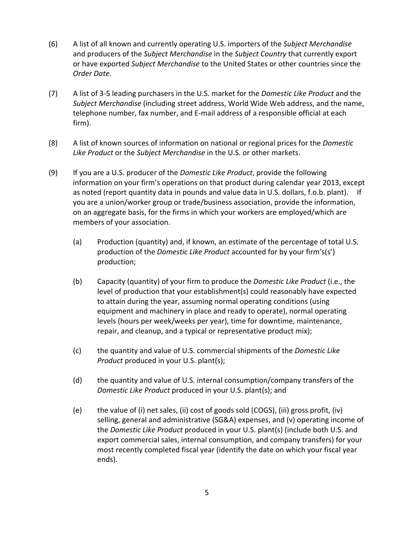- (6) A list of all known and currently operating U.S. importers of the *Subject Merchandise* and producers of the *Subject Merchandise* in the *Subject Country* that currently export or have exported *Subject Merchandise* to the United States or other countries since the *Order Date*.
- (7) A list of 3‐5 leading purchasers in the U.S. market for the *Domestic Like Product* and the *Subject Merchandise* (including street address, World Wide Web address, and the name, telephone number, fax number, and E‐mail address of a responsible official at each firm).
- (8) A list of known sources of information on national or regional prices for the *Domestic Like Product* or the *Subject Merchandise* in the U.S. or other markets.
- (9) If you are a U.S. producer of the *Domestic Like Product*, provide the following information on your firm's operations on that product during calendar year 2013, except as noted (report quantity data in pounds and value data in U.S. dollars, f.o.b. plant). If you are a union/worker group or trade/business association, provide the information, on an aggregate basis, for the firms in which your workers are employed/which are members of your association.
	- (a) Production (quantity) and, if known, an estimate of the percentage of total U.S. production of the *Domestic Like Product* accounted for by your firm's(s') production;
	- (b) Capacity (quantity) of your firm to produce the *Domestic Like Product* (i.e., the level of production that your establishment(s) could reasonably have expected to attain during the year, assuming normal operating conditions (using equipment and machinery in place and ready to operate), normal operating levels (hours per week/weeks per year), time for downtime, maintenance, repair, and cleanup, and a typical or representative product mix);
	- (c) the quantity and value of U.S. commercial shipments of the *Domestic Like Product* produced in your U.S. plant(s);
	- (d) the quantity and value of U.S. internal consumption/company transfers of the *Domestic Like Product* produced in your U.S. plant(s); and
	- (e) the value of (i) net sales, (ii) cost of goods sold (COGS), (iii) gross profit, (iv) selling, general and administrative (SG&A) expenses, and (v) operating income of the *Domestic Like Product* produced in your U.S. plant(s) (include both U.S. and export commercial sales, internal consumption, and company transfers) for your most recently completed fiscal year (identify the date on which your fiscal year ends).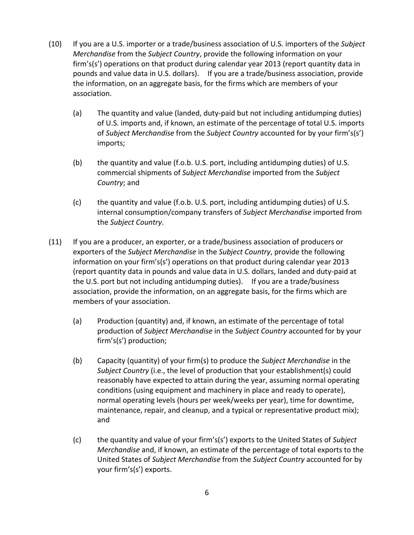- (10) If you are a U.S. importer or a trade/business association of U.S. importers of the *Subject Merchandise* from the *Subject Country*, provide the following information on your firm's(s') operations on that product during calendar year 2013 (report quantity data in pounds and value data in U.S. dollars). If you are a trade/business association, provide the information, on an aggregate basis, for the firms which are members of your association.
	- (a) The quantity and value (landed, duty‐paid but not including antidumping duties) of U.S. imports and, if known, an estimate of the percentage of total U.S. imports of *Subject Merchandise* from the *Subject Country* accounted for by your firm's(s') imports;
	- (b) the quantity and value (f.o.b. U.S. port, including antidumping duties) of U.S. commercial shipments of *Subject Merchandise* imported from the *Subject Country*; and
	- (c) the quantity and value (f.o.b. U.S. port, including antidumping duties) of U.S. internal consumption/company transfers of *Subject Merchandise* imported from the *Subject Country*.
- (11) If you are a producer, an exporter, or a trade/business association of producers or exporters of the *Subject Merchandise* in the *Subject Country*, provide the following information on your firm's(s') operations on that product during calendar year 2013 (report quantity data in pounds and value data in U.S. dollars, landed and duty‐paid at the U.S. port but not including antidumping duties). If you are a trade/business association, provide the information, on an aggregate basis, for the firms which are members of your association.
	- (a) Production (quantity) and, if known, an estimate of the percentage of total production of *Subject Merchandise* in the *Subject Country* accounted for by your firm's(s') production;
	- (b) Capacity (quantity) of your firm(s) to produce the *Subject Merchandise* in the *Subject Country* (i.e., the level of production that your establishment(s) could reasonably have expected to attain during the year, assuming normal operating conditions (using equipment and machinery in place and ready to operate), normal operating levels (hours per week/weeks per year), time for downtime, maintenance, repair, and cleanup, and a typical or representative product mix); and
	- (c) the quantity and value of your firm's(s') exports to the United States of *Subject Merchandise* and, if known, an estimate of the percentage of total exports to the United States of *Subject Merchandise* from the *Subject Country* accounted for by your firm's(s') exports.